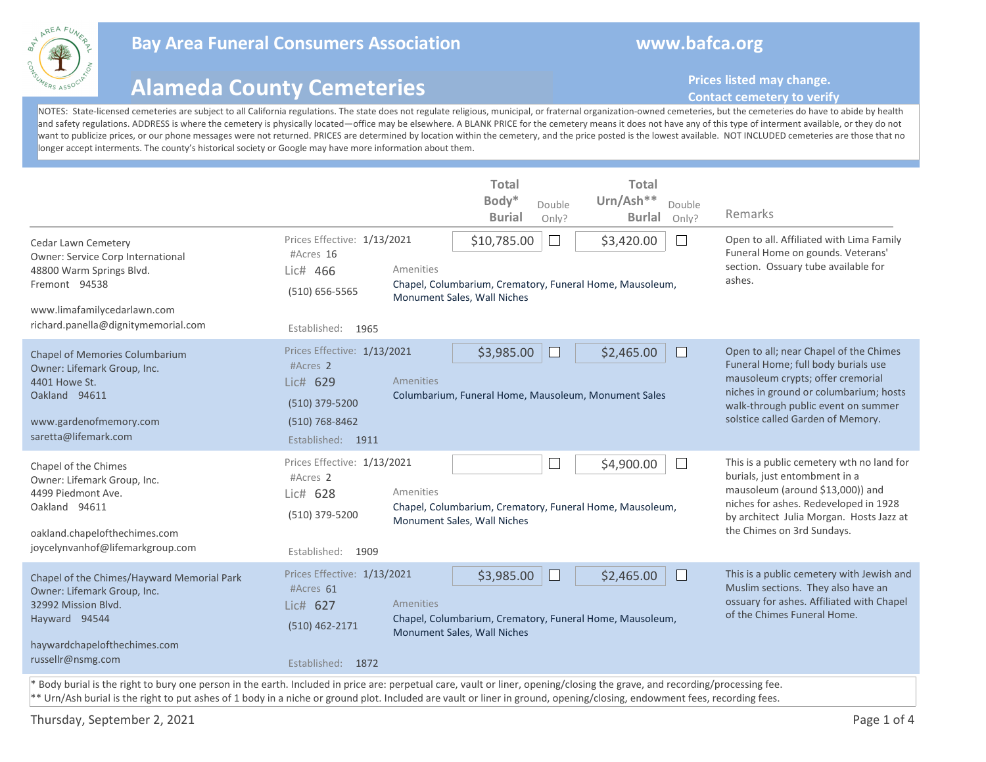

## **Bay Area Funeral Consumers Association www.bafca.org**

## **Alameda County Cemeteries**

**Prices listed may change.** 

## **Contact cemetery to verify**

NOTES: State-licensed cemeteries are subject to all California regulations. The state does not regulate religious, municipal, or fraternal organization-owned cemeteries, but the cemeteries do have to abide by health and safety regulations. ADDRESS is where the cemetery is physically located—office may be elsewhere. A BLANK PRICE for the cemetery means it does not have any of this type of interment available, or they do not want to publicize prices, or our phone messages were not returned. PRICES are determined by location within the cemetery, and the price posted is the lowest available. NOT INCLUDED cemeteries are those that no longer accept interments. The county's historical society or Google may have more information about them.

| Cedar Lawn Cemetery<br>Owner: Service Corp International<br>48800 Warm Springs Blvd.<br>Fremont 94538<br>www.limafamilycedarlawn.com<br>richard.panella@dignitymemorial.com                                                                                                                                                                           | Prices Effective: 1/13/2021<br>#Acres 16<br>Lic# 466<br>$(510) 656 - 5565$<br>Established: 1965              | Amenities        | <b>Total</b><br>Body*<br><b>Burial</b><br>\$10,785.00<br>Monument Sales, Wall Niches | Double<br>Only?<br>$\Box$ | <b>Total</b><br>Urn/Ash**<br>Double<br><b>Burlal</b><br>Only?<br>\$3,420.00<br>$\vert \ \ \vert$<br>Chapel, Columbarium, Crematory, Funeral Home, Mausoleum, | Remarks<br>Open to all. Affiliated with Lima Family<br>Funeral Home on gounds. Veterans'<br>section. Ossuary tube available for<br>ashes.                                                                                                |
|-------------------------------------------------------------------------------------------------------------------------------------------------------------------------------------------------------------------------------------------------------------------------------------------------------------------------------------------------------|--------------------------------------------------------------------------------------------------------------|------------------|--------------------------------------------------------------------------------------|---------------------------|--------------------------------------------------------------------------------------------------------------------------------------------------------------|------------------------------------------------------------------------------------------------------------------------------------------------------------------------------------------------------------------------------------------|
| Chapel of Memories Columbarium<br>Owner: Lifemark Group, Inc.<br>4401 Howe St.<br>Oakland 94611<br>www.gardenofmemory.com<br>saretta@lifemark.com                                                                                                                                                                                                     | Prices Effective: 1/13/2021<br>#Acres 2<br>Lic# 629<br>(510) 379-5200<br>(510) 768-8462<br>Established: 1911 | Amenities        | \$3,985.00                                                                           |                           | \$2,465.00<br>Columbarium, Funeral Home, Mausoleum, Monument Sales                                                                                           | Open to all; near Chapel of the Chimes<br>Funeral Home; full body burials use<br>mausoleum crypts; offer cremorial<br>niches in ground or columbarium; hosts<br>walk-through public event on summer<br>solstice called Garden of Memory. |
| Chapel of the Chimes<br>Owner: Lifemark Group, Inc.<br>4499 Piedmont Ave.<br>Oakland 94611<br>oakland.chapelofthechimes.com<br>joycelynvanhof@lifemarkgroup.com                                                                                                                                                                                       | Prices Effective: 1/13/2021<br>#Acres 2<br>Lic# 628<br>(510) 379-5200<br>Established:<br>1909                | Amenities        | Monument Sales, Wall Niches                                                          | $\mathcal{A}$             | \$4,900.00<br>Chapel, Columbarium, Crematory, Funeral Home, Mausoleum,                                                                                       | This is a public cemetery wth no land for<br>burials, just entombment in a<br>mausoleum (around \$13,000)) and<br>niches for ashes. Redeveloped in 1928<br>by architect Julia Morgan. Hosts Jazz at<br>the Chimes on 3rd Sundays.        |
| Chapel of the Chimes/Hayward Memorial Park<br>Owner: Lifemark Group, Inc.<br>32992 Mission Blvd.<br>Hayward 94544<br>haywardchapelofthechimes.com<br>russellr@nsmg.com<br>* Body burial is the right to bury one person in the earth. Included in price are: perpetual care, vault or liner, opening/closing the grave, and recording/processing fee. | Prices Effective: 1/13/2021<br>#Acres 61<br>Lic# 627<br>(510) 462-2171<br>Established: 1872                  | <b>Amenities</b> | \$3,985.00<br>Monument Sales, Wall Niches                                            |                           | \$2,465.00<br>Chapel, Columbarium, Crematory, Funeral Home, Mausoleum,                                                                                       | This is a public cemetery with Jewish and<br>Muslim sections. They also have an<br>ossuary for ashes. Affiliated with Chapel<br>of the Chimes Funeral Home.                                                                              |

\*\* Urn/Ash burial is the right to put ashes of 1 body in a niche or ground plot. Included are vault or liner in ground, opening/closing, endowment fees, recording fees.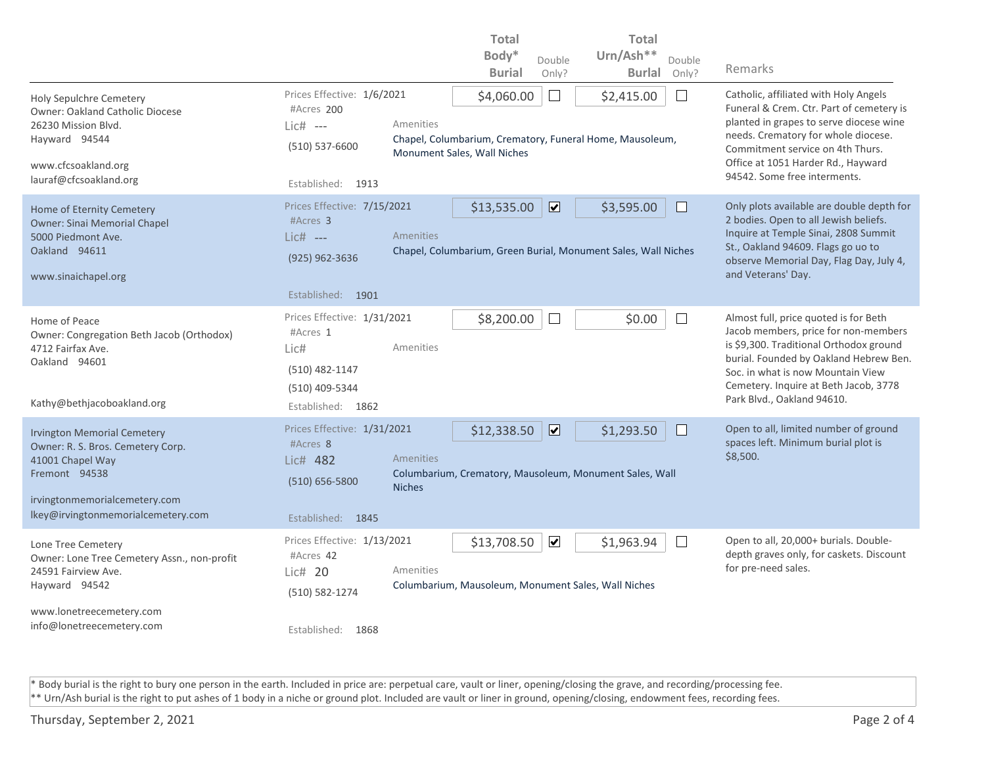|                                                                                                                                                                   |                                                                                                          |                                   | Total                                     |                          | Total                                                                        |                                                                                                                                                                                                                                                                                |
|-------------------------------------------------------------------------------------------------------------------------------------------------------------------|----------------------------------------------------------------------------------------------------------|-----------------------------------|-------------------------------------------|--------------------------|------------------------------------------------------------------------------|--------------------------------------------------------------------------------------------------------------------------------------------------------------------------------------------------------------------------------------------------------------------------------|
|                                                                                                                                                                   |                                                                                                          |                                   | Body*                                     | Double                   | Urn/Ash**<br>Double                                                          |                                                                                                                                                                                                                                                                                |
|                                                                                                                                                                   |                                                                                                          |                                   | <b>Burial</b>                             | Only?                    | <b>Burlal</b><br>Only?                                                       | Remarks                                                                                                                                                                                                                                                                        |
| <b>Holy Sepulchre Cemetery</b><br><b>Owner: Oakland Catholic Diocese</b><br>26230 Mission Blyd.<br>Hayward 94544<br>www.cfcsoakland.org<br>lauraf@cfcsoakland.org | Prices Effective: 1/6/2021<br>#Acres 200<br>$Lie#$ ---<br>$(510) 537 - 6600$<br>Established: 1913        | Amenities                         | \$4,060.00<br>Monument Sales, Wall Niches | $\overline{\phantom{a}}$ | \$2,415.00<br>Chapel, Columbarium, Crematory, Funeral Home, Mausoleum,       | Catholic, affiliated with Holy Angels<br>Funeral & Crem. Ctr. Part of cemetery is<br>planted in grapes to serve diocese wine<br>needs. Crematory for whole diocese.<br>Commitment service on 4th Thurs.<br>Office at 1051 Harder Rd., Hayward<br>94542. Some free interments.  |
|                                                                                                                                                                   |                                                                                                          |                                   |                                           |                          |                                                                              |                                                                                                                                                                                                                                                                                |
| Home of Eternity Cemetery<br><b>Owner: Sinai Memorial Chapel</b><br>5000 Piedmont Ave.<br>Oakland 94611<br>www.sinaichapel.org                                    | Prices Effective: 7/15/2021<br>#Acres 3<br>Lic# ---<br>(925) 962-3636                                    | <b>Amenities</b>                  | \$13,535.00                               | $\overline{\mathbf{z}}$  | \$3,595.00<br>Chapel, Columbarium, Green Burial, Monument Sales, Wall Niches | Only plots available are double depth for<br>2 bodies. Open to all Jewish beliefs.<br>Inquire at Temple Sinai, 2808 Summit<br>St., Oakland 94609. Flags go uo to<br>observe Memorial Day, Flag Day, July 4,<br>and Veterans' Day.                                              |
|                                                                                                                                                                   | Established: 1901                                                                                        |                                   |                                           |                          |                                                                              |                                                                                                                                                                                                                                                                                |
| Home of Peace<br>Owner: Congregation Beth Jacob (Orthodox)<br>4712 Fairfax Ave.<br>Oakland 94601<br>Kathy@bethjacoboakland.org                                    | Prices Effective: 1/31/2021<br>#Acres 1<br>Lic#<br>(510) 482-1147<br>(510) 409-5344<br>Established: 1862 | Amenities                         | \$8,200.00                                | $\Box$                   | \$0.00                                                                       | Almost full, price quoted is for Beth<br>Jacob members, price for non-members<br>is \$9,300. Traditional Orthodox ground<br>burial. Founded by Oakland Hebrew Ben.<br>Soc. in what is now Mountain View<br>Cemetery. Inquire at Beth Jacob, 3778<br>Park Blvd., Oakland 94610. |
| <b>Irvington Memorial Cemetery</b><br>Owner: R. S. Bros. Cemetery Corp.<br>41001 Chapel Way<br>Fremont 94538<br>irvingtonmemorialcemetery.com                     | Prices Effective: 1/31/2021<br>#Acres 8<br>Lic# 482<br>$(510) 656 - 5800$                                | <b>Amenities</b><br><b>Niches</b> | \$12,338.50                               | $\overline{\mathbf{v}}$  | \$1,293.50<br>Columbarium, Crematory, Mausoleum, Monument Sales, Wall        | Open to all, limited number of ground<br>spaces left. Minimum burial plot is<br>\$8,500.                                                                                                                                                                                       |
| Ikey@irvingtonmemorialcemetery.com                                                                                                                                | Established: 1845                                                                                        |                                   |                                           |                          |                                                                              |                                                                                                                                                                                                                                                                                |
| Lone Tree Cemetery<br>Owner: Lone Tree Cemetery Assn., non-profit<br>24591 Fairview Ave.<br>Hayward 94542                                                         | Prices Effective: 1/13/2021<br>#Acres 42<br>Lic# 20<br>(510) 582-1274                                    | Amenities                         | \$13,708.50                               | $\overline{\mathbf{v}}$  | \$1,963.94<br>Columbarium, Mausoleum, Monument Sales, Wall Niches            | Open to all, 20,000+ burials. Double-<br>depth graves only, for caskets. Discount<br>for pre-need sales.                                                                                                                                                                       |
| www.lonetreecemetery.com<br>info@lonetreecemetery.com                                                                                                             | Established: 1868                                                                                        |                                   |                                           |                          |                                                                              |                                                                                                                                                                                                                                                                                |

\* Body burial is the right to bury one person in the earth. Included in price are: perpetual care, vault or liner, opening/closing the grave, and recording/processing fee. \*\* Urn/Ash burial is the right to put ashes of 1 body in a niche or ground plot. Included are vault or liner in ground, opening/closing, endowment fees, recording fees.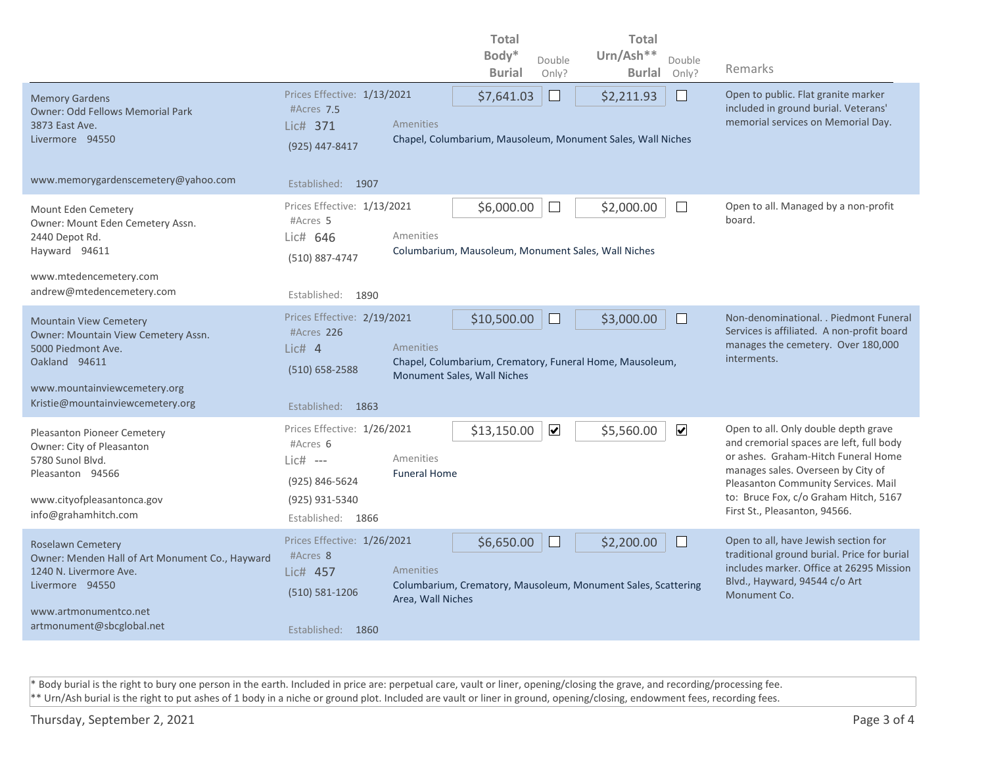|                                                                                                                                                                                        |                                                                                                                | <b>Total</b>                                                                                                        |                      |               |                      |                                                                                                                                                                                                                                                                                |
|----------------------------------------------------------------------------------------------------------------------------------------------------------------------------------------|----------------------------------------------------------------------------------------------------------------|---------------------------------------------------------------------------------------------------------------------|----------------------|---------------|----------------------|--------------------------------------------------------------------------------------------------------------------------------------------------------------------------------------------------------------------------------------------------------------------------------|
|                                                                                                                                                                                        |                                                                                                                | Body*                                                                                                               | Double               | Urn/Ash**     | Double               |                                                                                                                                                                                                                                                                                |
|                                                                                                                                                                                        |                                                                                                                | <b>Burial</b>                                                                                                       | Only?                | <b>Burlal</b> | Only?                | Remarks                                                                                                                                                                                                                                                                        |
| <b>Memory Gardens</b><br><b>Owner: Odd Fellows Memorial Park</b><br>3873 East Ave.<br>Livermore 94550                                                                                  | Prices Effective: 1/13/2021<br>#Acres 7.5<br>Lic# 371<br>(925) 447-8417                                        | \$7,641.03<br>Amenities<br>Chapel, Columbarium, Mausoleum, Monument Sales, Wall Niches                              | $\Box$               | \$2,211.93    |                      | Open to public. Flat granite marker<br>included in ground burial. Veterans'<br>memorial services on Memorial Day.                                                                                                                                                              |
| www.memorygardenscemetery@yahoo.com                                                                                                                                                    | Established: 1907                                                                                              |                                                                                                                     |                      |               |                      |                                                                                                                                                                                                                                                                                |
| Mount Eden Cemetery<br>Owner: Mount Eden Cemetery Assn.<br>2440 Depot Rd.<br>Hayward 94611                                                                                             | Prices Effective: 1/13/2021<br>#Acres 5<br>Lic# 646<br>(510) 887-4747                                          | \$6,000.00<br>Amenities<br>Columbarium, Mausoleum, Monument Sales, Wall Niches                                      |                      | \$2,000.00    | $\perp$              | Open to all. Managed by a non-profit<br>board.                                                                                                                                                                                                                                 |
| www.mtedencemetery.com<br>andrew@mtedencemetery.com                                                                                                                                    | Established:<br>1890                                                                                           |                                                                                                                     |                      |               |                      |                                                                                                                                                                                                                                                                                |
| <b>Mountain View Cemetery</b><br><b>Owner: Mountain View Cemetery Assn.</b><br>5000 Piedmont Ave.<br>Oakland 94611<br>www.mountainviewcemetery.org<br>Kristie@mountainviewcemetery.org | Prices Effective: 2/19/2021<br>#Acres 226<br>Lic# 4<br>$(510) 658 - 2588$<br>Established: 1863                 | \$10,500.00<br>Amenities<br>Chapel, Columbarium, Crematory, Funeral Home, Mausoleum,<br>Monument Sales, Wall Niches |                      | \$3,000.00    | $\Box$               | Non-denominational. . Piedmont Funeral<br>Services is affiliated. A non-profit board<br>manages the cemetery. Over 180,000<br>interments.                                                                                                                                      |
| Pleasanton Pioneer Cemetery<br>Owner: City of Pleasanton<br>5780 Sunol Blvd.<br>Pleasanton 94566<br>www.cityofpleasantonca.gov<br>info@grahamhitch.com                                 | Prices Effective: 1/26/2021<br>#Acres 6<br>$Lie#$ ---<br>(925) 846-5624<br>(925) 931-5340<br>Established: 1866 | \$13,150.00<br>Amenities<br><b>Funeral Home</b>                                                                     | $\blacktriangledown$ | \$5,560.00    | $\blacktriangledown$ | Open to all. Only double depth grave<br>and cremorial spaces are left, full body<br>or ashes. Graham-Hitch Funeral Home<br>manages sales. Overseen by City of<br>Pleasanton Community Services. Mail<br>to: Bruce Fox, c/o Graham Hitch, 5167<br>First St., Pleasanton, 94566. |
| Roselawn Cemetery<br>Owner: Menden Hall of Art Monument Co., Hayward<br>1240 N. Livermore Ave.<br>Livermore 94550<br>www.artmonumentco.net<br>artmonument@sbcglobal.net                | Prices Effective: 1/26/2021<br>#Acres 8<br>Lic# 457<br>$(510) 581 - 1206$<br>Established: 1860                 | \$6,650.00<br>Amenities<br>Columbarium, Crematory, Mausoleum, Monument Sales, Scattering<br>Area, Wall Niches       | H                    | \$2,200.00    |                      | Open to all, have Jewish section for<br>traditional ground burial. Price for burial<br>includes marker. Office at 26295 Mission<br>Blvd., Hayward, 94544 c/o Art<br>Monument Co.                                                                                               |

\* Body burial is the right to bury one person in the earth. Included in price are: perpetual care, vault or liner, opening/closing the grave, and recording/processing fee. \*\* Urn/Ash burial is the right to put ashes of 1 body in a niche or ground plot. Included are vault or liner in ground, opening/closing, endowment fees, recording fees.